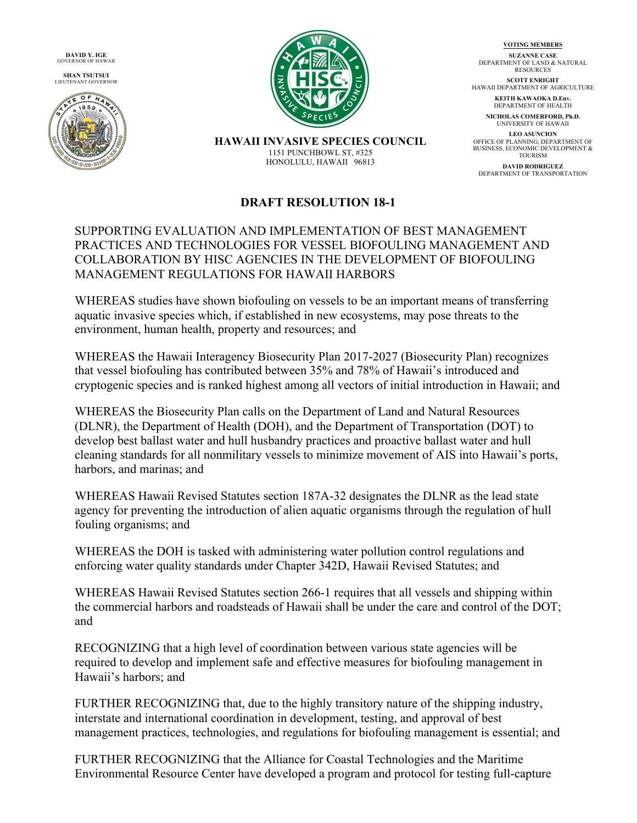**DAVID Y. IGE** GOVERNOR OF HAWAII

**SHAN TSUTSUI** LIEUTENANT GOVERNOR





**VOTING MEMBERS**

**SUZANNE CASE** DEPARTMENT OF LAND & NATURAL RESOURCES

**SCOTT ENRIGHT** HAWAII DEPARTMENT OF AGRICULTURE

> **KEITH KAWAOKA D.Env.** DEPARTMENT OF HEALTH

**NICHOLAS COMERFORD, Ph.D.** UNIVERSITY OF HAWAII

**LEO ASUNCION** OFFICE OF PLANNING, DEPARTMENT OF BUSINESS, ECONOMIC DEVELOPMENT & TOURISM

**DAVID RODRIGUEZ** DEPARTMENT OF TRANSPORTATION

## **HAWAII INVASIVE SPECIES COUNCIL** 1151 PUNCHBOWL ST, #325 HONOLULU, HAWAII 96813

## **DRAFT RESOLUTION 18-1**

## SUPPORTING EVALUATION AND IMPLEMENTATION OF BEST MANAGEMENT PRACTICES AND TECHNOLOGIES FOR VESSEL BIOFOULING MANAGEMENT AND COLLABORATION BY HISC AGENCIES IN THE DEVELOPMENT OF BIOFOULING MANAGEMENT REGULATIONS FOR HAWAII HARBORS

WHEREAS studies have shown biofouling on vessels to be an important means of transferring aquatic invasive species which, if established in new ecosystems, may pose threats to the environment, human health, property and resources; and

WHEREAS the Hawaii Interagency Biosecurity Plan 2017-2027 (Biosecurity Plan) recognizes that vessel biofouling has contributed between 35% and 78% of Hawaii's introduced and cryptogenic species and is ranked highest among all vectors of initial introduction in Hawaii; and

WHEREAS the Biosecurity Plan calls on the Department of Land and Natural Resources (DLNR), the Department of Health (DOH), and the Department of Transportation (DOT) to develop best ballast water and hull husbandry practices and proactive ballast water and hull cleaning standards for all nonmilitary vessels to minimize movement of AIS into Hawaii's ports, harbors, and marinas; and

WHEREAS Hawaii Revised Statutes section 187A-32 designates the DLNR as the lead state agency for preventing the introduction of alien aquatic organisms through the regulation of hull fouling organisms; and

WHEREAS the DOH is tasked with administering water pollution control regulations and enforcing water quality standards under Chapter 342D, Hawaii Revised Statutes; and

WHEREAS Hawaii Revised Statutes section 266-1 requires that all vessels and shipping within the commercial harbors and roadsteads of Hawaii shall be under the care and control of the DOT; and

RECOGNIZING that a high level of coordination between various state agencies will be required to develop and implement safe and effective measures for biofouling management in Hawaii's harbors; and

FURTHER RECOGNIZING that, due to the highly transitory nature of the shipping industry, interstate and international coordination in development, testing, and approval of best management practices, technologies, and regulations for biofouling management is essential; and

FURTHER RECOGNIZING that the Alliance for Coastal Technologies and the Maritime Environmental Resource Center have developed a program and protocol for testing full-capture